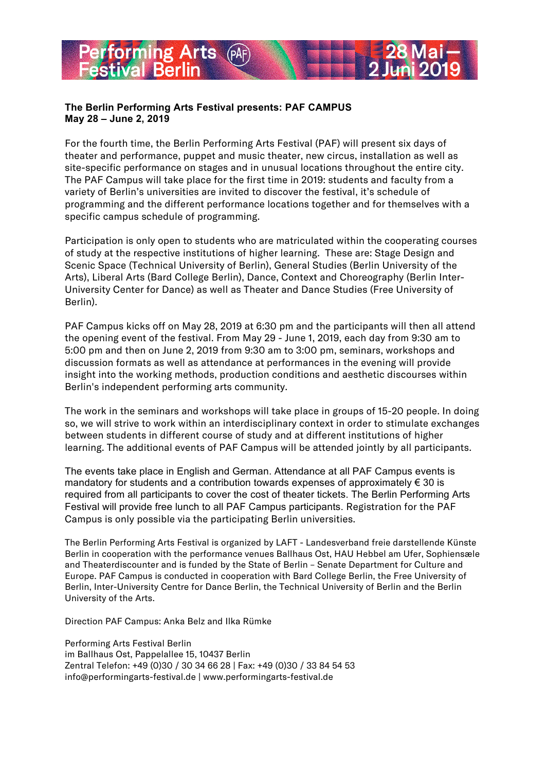# **The Berlin Performing Arts Festival presents: PAF CAMPUS May 28 – June 2, 2019**

**Priming Arts** 

For the fourth time, the Berlin Performing Arts Festival (PAF) will present six days of theater and performance, puppet and music theater, new circus, installation as well as site-specific performance on stages and in unusual locations throughout the entire city. The PAF Campus will take place for the first time in 2019: students and faculty from a variety of Berlin's universities are invited to discover the festival, it's schedule of programming and the different performance locations together and for themselves with a specific campus schedule of programming.

Participation is only open to students who are matriculated within the cooperating courses of study at the respective institutions of higher learning. These are: Stage Design and Scenic Space (Technical University of Berlin), General Studies (Berlin University of the Arts), Liberal Arts (Bard College Berlin), Dance, Context and Choreography (Berlin Inter-University Center for Dance) as well as Theater and Dance Studies (Free University of Berlin).

PAF Campus kicks off on May 28, 2019 at 6:30 pm and the participants will then all attend the opening event of the festival. From May 29 - June 1, 2019, each day from 9:30 am to 5:00 pm and then on June 2, 2019 from 9:30 am to 3:00 pm, seminars, workshops and discussion formats as well as attendance at performances in the evening will provide insight into the working methods, production conditions and aesthetic discourses within Berlin's independent performing arts community.

The work in the seminars and workshops will take place in groups of 15-20 people. In doing so, we will strive to work within an interdisciplinary context in order to stimulate exchanges between students in different course of study and at different institutions of higher learning. The additional events of PAF Campus will be attended jointly by all participants.

The events take place in English and German. Attendance at all PAF Campus events is mandatory for students and a contribution towards expenses of approximately  $\epsilon$  30 is required from all participants to cover the cost of theater tickets. The Berlin Performing Arts Festival will provide free lunch to all PAF Campus participants. Registration for the PAF Campus is only possible via the participating Berlin universities.

The Berlin Performing Arts Festival is organized by LAFT - Landesverband freie darstellende Künste Berlin in cooperation with the performance venues Ballhaus Ost, HAU Hebbel am Ufer, Sophiensæle and Theaterdiscounter and is funded by the State of Berlin – Senate Department for Culture and Europe. PAF Campus is conducted in cooperation with Bard College Berlin, the Free University of Berlin, Inter-University Centre for Dance Berlin, the Technical University of Berlin and the Berlin University of the Arts.

Direction PAF Campus: Anka Belz and Ilka Rümke

Performing Arts Festival Berlin im Ballhaus Ost, Pappelallee 15, 10437 Berlin Zentral Telefon: +49 (0)30 / 30 34 66 28 | Fax: +49 (0)30 / 33 84 54 53 info@performingarts-festival.de | www.performingarts-festival.de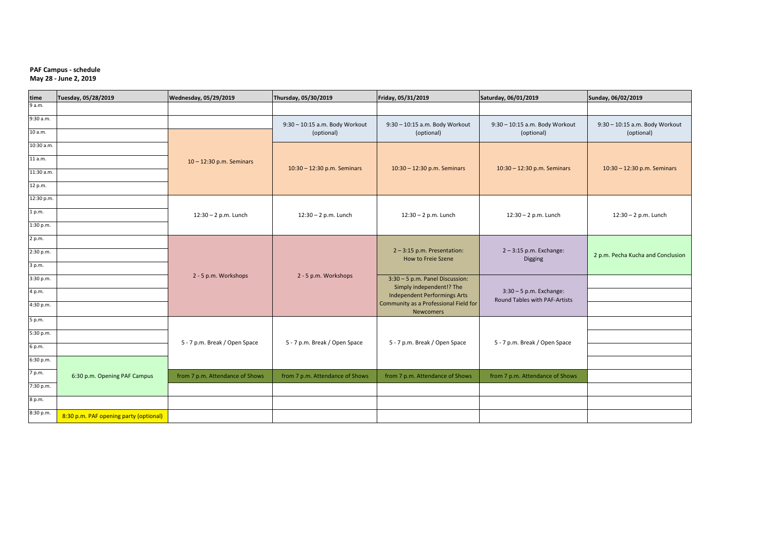#### **PAF Campus - schedule May 28 - June 2, 2019**

| time       | Tuesday, 05/28/2019                    | Wednesday, 05/29/2019           | Thursday, 05/30/2019                         | Friday, 05/31/2019                                                                                                           | Saturday, 06/01/2019                                       | Sunday, 06/02/2019                           |
|------------|----------------------------------------|---------------------------------|----------------------------------------------|------------------------------------------------------------------------------------------------------------------------------|------------------------------------------------------------|----------------------------------------------|
| 9 a.m.     |                                        |                                 |                                              |                                                                                                                              |                                                            |                                              |
| 9:30 a.m.  |                                        |                                 | 9:30 - 10:15 a.m. Body Workout<br>(optional) | 9:30 - 10:15 a.m. Body Workout<br>(optional)                                                                                 | 9:30 - 10:15 a.m. Body Workout<br>(optional)               | 9:30 - 10:15 a.m. Body Workout<br>(optional) |
| 10 a.m.    |                                        |                                 |                                              |                                                                                                                              |                                                            |                                              |
| 10:30 a.m. |                                        |                                 |                                              |                                                                                                                              |                                                            |                                              |
| 11 a.m.    |                                        | 10-12:30 p.m. Seminars          | 10:30 - 12:30 p.m. Seminars                  | 10:30 - 12:30 p.m. Seminars                                                                                                  | 10:30 - 12:30 p.m. Seminars                                | 10:30 - 12:30 p.m. Seminars                  |
| 11:30 a.m. |                                        |                                 |                                              |                                                                                                                              |                                                            |                                              |
| 12 p.m.    |                                        |                                 |                                              |                                                                                                                              |                                                            |                                              |
| 12:30 p.m. |                                        | $12:30 - 2$ p.m. Lunch          | $12:30 - 2$ p.m. Lunch                       | $12:30 - 2$ p.m. Lunch                                                                                                       | $12:30 - 2$ p.m. Lunch                                     | $12:30 - 2$ p.m. Lunch                       |
| 1 p.m.     |                                        |                                 |                                              |                                                                                                                              |                                                            |                                              |
| 1:30 p.m.  |                                        |                                 |                                              |                                                                                                                              |                                                            |                                              |
| 2 p.m.     |                                        |                                 |                                              |                                                                                                                              |                                                            |                                              |
| 2:30 p.m.  |                                        |                                 |                                              | $2 - 3:15$ p.m. Presentation:<br>How to Freie Szene                                                                          | $2 - 3:15$ p.m. Exchange:<br>Digging                       | 2 p.m. Pecha Kucha and Conclusion            |
| 3 p.m.     |                                        |                                 |                                              |                                                                                                                              |                                                            |                                              |
| 3:30 p.m.  | 2 - 5 p.m. Workshops                   | 2 - 5 p.m. Workshops            | 3:30 - 5 p.m. Panel Discussion:              |                                                                                                                              |                                                            |                                              |
| 4 p.m.     |                                        |                                 |                                              | Simply independent!? The<br><b>Independent Performings Arts</b><br>Community as a Professional Field for<br><b>Newcomers</b> | $3:30 - 5$ p.m. Exchange:<br>Round Tables with PAF-Artists |                                              |
| 4:30 p.m.  |                                        |                                 |                                              |                                                                                                                              |                                                            |                                              |
| 5 p.m.     | 5 - 7 p.m. Break / Open Space          |                                 |                                              |                                                                                                                              |                                                            |                                              |
| 5:30 p.m.  |                                        |                                 |                                              |                                                                                                                              |                                                            |                                              |
| 6 p.m.     |                                        | 5 - 7 p.m. Break / Open Space   | 5 - 7 p.m. Break / Open Space                | 5 - 7 p.m. Break / Open Space                                                                                                |                                                            |                                              |
| 6:30 p.m.  |                                        |                                 |                                              |                                                                                                                              |                                                            |                                              |
| 7 p.m.     | 6:30 p.m. Opening PAF Campus           | from 7 p.m. Attendance of Shows | from 7 p.m. Attendance of Shows              | from 7 p.m. Attendance of Shows                                                                                              | from 7 p.m. Attendance of Shows                            |                                              |
| 7:30 p.m.  |                                        |                                 |                                              |                                                                                                                              |                                                            |                                              |
| 8 p.m.     |                                        |                                 |                                              |                                                                                                                              |                                                            |                                              |
| 8:30 p.m.  |                                        |                                 |                                              |                                                                                                                              |                                                            |                                              |
|            | 8:30 p.m. PAF opening party (optional) |                                 |                                              |                                                                                                                              |                                                            |                                              |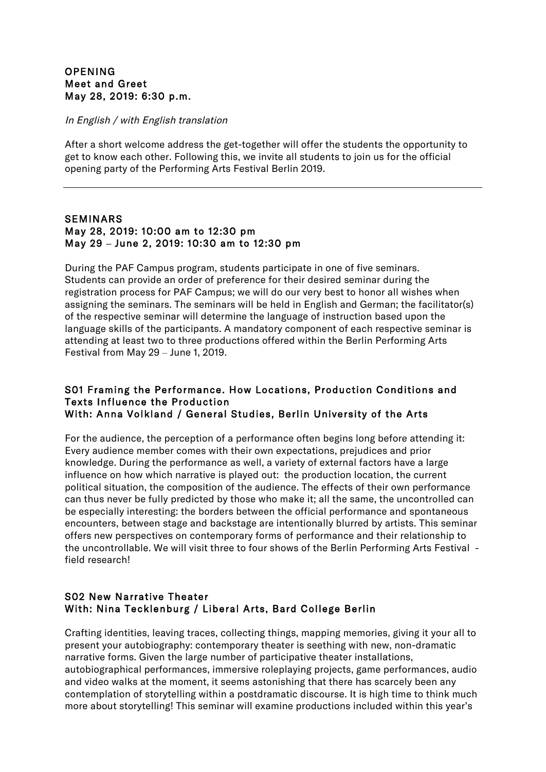# **OPENING** Meet and Greet May 28, 2019: 6:30 p.m.

#### In English / with English translation

After a short welcome address the get-together will offer the students the opportunity to get to know each other. Following this, we invite all students to join us for the official opening party of the Performing Arts Festival Berlin 2019.

### SEMINARS May 28, 2019: 10:00 am to 12:30 pm May 29 **–** June 2, 2019: 10:30 am to 12:30 pm

During the PAF Campus program, students participate in one of five seminars. Students can provide an order of preference for their desired seminar during the registration process for PAF Campus; we will do our very best to honor all wishes when assigning the seminars. The seminars will be held in English and German; the facilitator(s) of the respective seminar will determine the language of instruction based upon the language skills of the participants. A mandatory component of each respective seminar is attending at least two to three productions offered within the Berlin Performing Arts Festival from May 29 – June 1, 2019.

#### S01 Framing the Performance. How Locations, Production Conditions and Texts Influence the Production With: Anna Volkland / General Studies, Berlin University of the Arts

For the audience, the perception of a performance often begins long before attending it: Every audience member comes with their own expectations, prejudices and prior knowledge. During the performance as well, a variety of external factors have a large influence on how which narrative is played out: the production location, the current political situation, the composition of the audience. The effects of their own performance can thus never be fully predicted by those who make it; all the same, the uncontrolled can be especially interesting: the borders between the official performance and spontaneous encounters, between stage and backstage are intentionally blurred by artists. This seminar offers new perspectives on contemporary forms of performance and their relationship to the uncontrollable. We will visit three to four shows of the Berlin Performing Arts Festival field research!

# S02 New Narrative Theater With: Nina Tecklenburg / Liberal Arts, Bard College Berlin

Crafting identities, leaving traces, collecting things, mapping memories, giving it your all to present your autobiography: contemporary theater is seething with new, non-dramatic narrative forms. Given the large number of participative theater installations, autobiographical performances, immersive roleplaying projects, game performances, audio and video walks at the moment, it seems astonishing that there has scarcely been any contemplation of storytelling within a postdramatic discourse. It is high time to think much more about storytelling! This seminar will examine productions included within this year's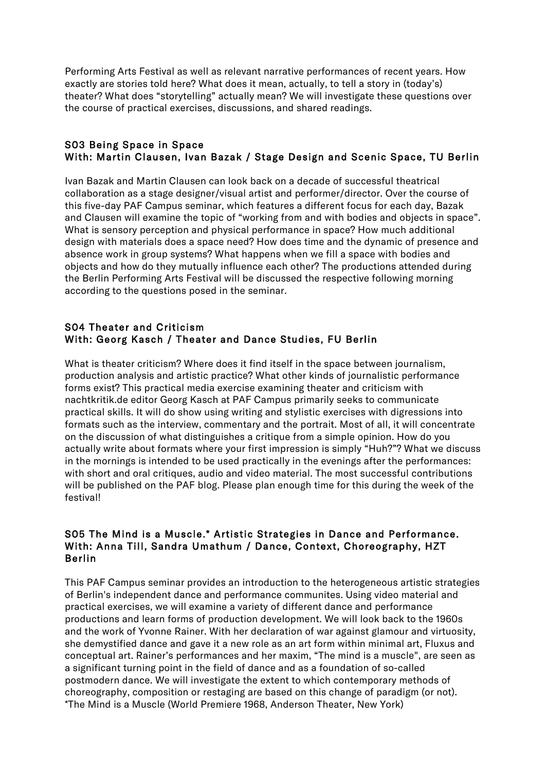Performing Arts Festival as well as relevant narrative performances of recent years. How exactly are stories told here? What does it mean, actually, to tell a story in (today's) theater? What does "storytelling" actually mean? We will investigate these questions over the course of practical exercises, discussions, and shared readings.

### S03 Being Space in Space With: Martin Clausen, Ivan Bazak / Stage Design and Scenic Space, TU Berlin

Ivan Bazak and Martin Clausen can look back on a decade of successful theatrical collaboration as a stage designer/visual artist and performer/director. Over the course of this five-day PAF Campus seminar, which features a different focus for each day, Bazak and Clausen will examine the topic of "working from and with bodies and objects in space". What is sensory perception and physical performance in space? How much additional design with materials does a space need? How does time and the dynamic of presence and absence work in group systems? What happens when we fill a space with bodies and objects and how do they mutually influence each other? The productions attended during the Berlin Performing Arts Festival will be discussed the respective following morning according to the questions posed in the seminar.

# S04 Theater and Criticism With: Georg Kasch / Theater and Dance Studies, FU Berlin

What is theater criticism? Where does it find itself in the space between journalism, production analysis and artistic practice? What other kinds of journalistic performance forms exist? This practical media exercise examining theater and criticism with nachtkritik.de editor Georg Kasch at PAF Campus primarily seeks to communicate practical skills. It will do show using writing and stylistic exercises with digressions into formats such as the interview, commentary and the portrait. Most of all, it will concentrate on the discussion of what distinguishes a critique from a simple opinion. How do you actually write about formats where your first impression is simply "Huh?"? What we discuss in the mornings is intended to be used practically in the evenings after the performances: with short and oral critiques, audio and video material. The most successful contributions will be published on the PAF blog. Please plan enough time for this during the week of the festival!

# S05 The Mind is a Muscle.\* Artistic Strategies in Dance and Performance. With: Anna Till, Sandra Umathum / Dance, Context, Choreography, HZT Berlin

This PAF Campus seminar provides an introduction to the heterogeneous artistic strategies of Berlin's independent dance and performance communites. Using video material and practical exercises, we will examine a variety of different dance and performance productions and learn forms of production development. We will look back to the 1960s and the work of Yvonne Rainer. With her declaration of war against glamour and virtuosity, she demystified dance and gave it a new role as an art form within minimal art, Fluxus and conceptual art. Rainer's performances and her maxim, "The mind is a muscle", are seen as a significant turning point in the field of dance and as a foundation of so-called postmodern dance. We will investigate the extent to which contemporary methods of choreography, composition or restaging are based on this change of paradigm (or not). \*The Mind is a Muscle (World Premiere 1968, Anderson Theater, New York)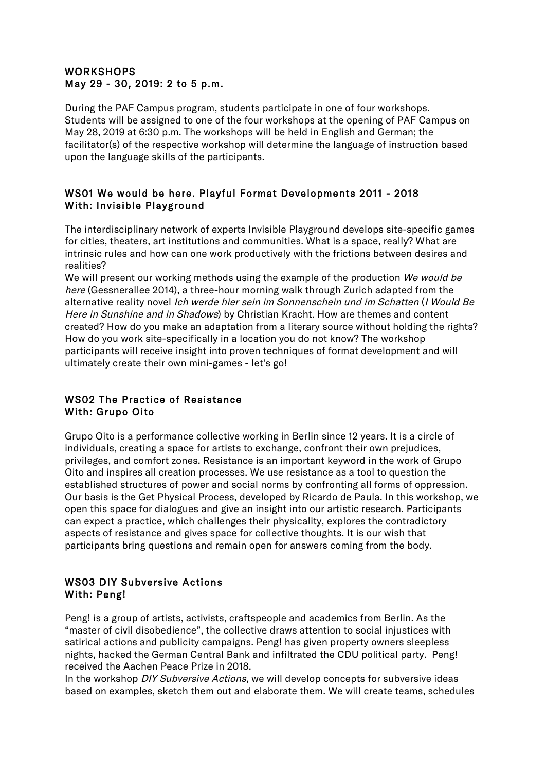# WORKSHOPS May 29 - 30, 2019: 2 to 5 p.m.

During the PAF Campus program, students participate in one of four workshops. Students will be assigned to one of the four workshops at the opening of PAF Campus on May 28, 2019 at 6:30 p.m. The workshops will be held in English and German; the facilitator(s) of the respective workshop will determine the language of instruction based upon the language skills of the participants.

# WS01 We would be here. Playful Format Developments 2011 - 2018 With: Invisible Playground

The interdisciplinary network of experts Invisible Playground develops site-specific games for cities, theaters, art institutions and communities. What is a space, really? What are intrinsic rules and how can one work productively with the frictions between desires and realities?

We will present our working methods using the example of the production We would be here (Gessnerallee 2014), a three-hour morning walk through Zurich adapted from the alternative reality novel Ich werde hier sein im Sonnenschein und im Schatten (I Would Be Here in Sunshine and in Shadows) by Christian Kracht. How are themes and content created? How do you make an adaptation from a literary source without holding the rights? How do you work site-specifically in a location you do not know? The workshop participants will receive insight into proven techniques of format development and will ultimately create their own mini-games - let's go!

# WS02 The Practice of Resistance With: Grupo Oito

Grupo Oito is a performance collective working in Berlin since 12 years. It is a circle of individuals, creating a space for artists to exchange, confront their own prejudices, privileges, and comfort zones. Resistance is an important keyword in the work of Grupo Oito and inspires all creation processes. We use resistance as a tool to question the established structures of power and social norms by confronting all forms of oppression. Our basis is the Get Physical Process, developed by Ricardo de Paula. In this workshop, we open this space for dialogues and give an insight into our artistic research. Participants can expect a practice, which challenges their physicality, explores the contradictory aspects of resistance and gives space for collective thoughts. It is our wish that participants bring questions and remain open for answers coming from the body.

# WS03 DIY Subversive Actions With: Peng!

Peng! is a group of artists, activists, craftspeople and academics from Berlin. As the "master of civil disobedience", the collective draws attention to social injustices with satirical actions and publicity campaigns. Peng! has given property owners sleepless nights, hacked the German Central Bank and infiltrated the CDU political party. Peng! received the Aachen Peace Prize in 2018.

In the workshop *DIY Subversive Actions*, we will develop concepts for subversive ideas based on examples, sketch them out and elaborate them. We will create teams, schedules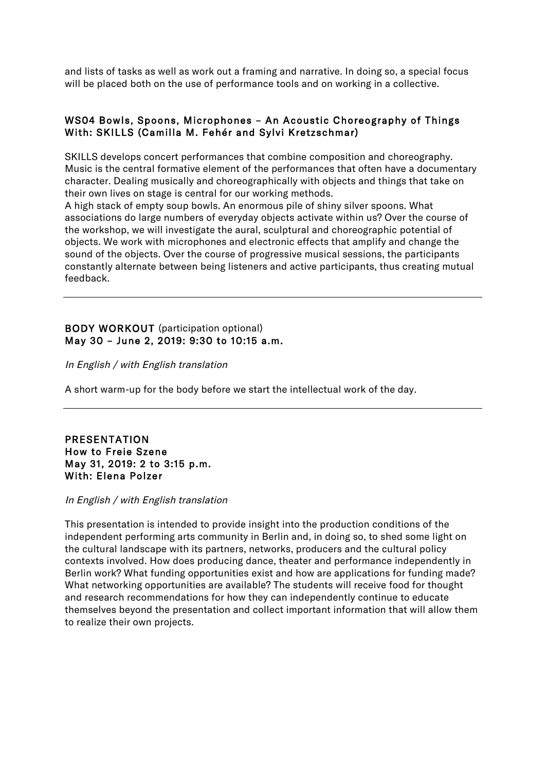and lists of tasks as well as work out a framing and narrative. In doing so, a special focus will be placed both on the use of performance tools and on working in a collective.

# WS04 Bowls, Spoons, Microphones – An Acoustic Choreography of Things With: SKILLS (Camilla M. Fehér and Sylvi Kretzschmar)

SKILLS develops concert performances that combine composition and choreography. Music is the central formative element of the performances that often have a documentary character. Dealing musically and choreographically with objects and things that take on their own lives on stage is central for our working methods.

A high stack of empty soup bowls. An enormous pile of shiny silver spoons. What associations do large numbers of everyday objects activate within us? Over the course of the workshop, we will investigate the aural, sculptural and choreographic potential of objects. We work with microphones and electronic effects that amplify and change the sound of the objects. Over the course of progressive musical sessions, the participants constantly alternate between being listeners and active participants, thus creating mutual feedback.

# BODY WORKOUT (participation optional) May 30 – June 2, 2019: 9:30 to 10:15 a.m.

In English / with English translation

A short warm-up for the body before we start the intellectual work of the day.

### PRESENTATION How to Freie Szene May 31, 2019: 2 to 3:15 p.m. With: Elena Polzer

#### In English / with English translation

This presentation is intended to provide insight into the production conditions of the independent performing arts community in Berlin and, in doing so, to shed some light on the cultural landscape with its partners, networks, producers and the cultural policy contexts involved. How does producing dance, theater and performance independently in Berlin work? What funding opportunities exist and how are applications for funding made? What networking opportunities are available? The students will receive food for thought and research recommendations for how they can independently continue to educate themselves beyond the presentation and collect important information that will allow them to realize their own projects.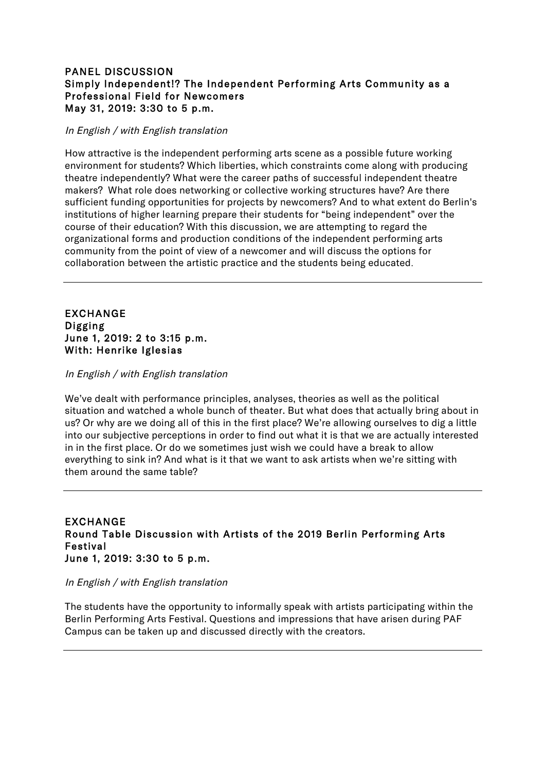# PANEL DISCUSSION Simply Independent!? The Independent Performing Arts Community as a Professional Field for Newcomers May 31, 2019: 3:30 to 5 p.m.

### In English / with English translation

How attractive is the independent performing arts scene as a possible future working environment for students? Which liberties, which constraints come along with producing theatre independently? What were the career paths of successful independent theatre makers? What role does networking or collective working structures have? Are there sufficient funding opportunities for projects by newcomers? And to what extent do Berlin's institutions of higher learning prepare their students for "being independent" over the course of their education? With this discussion, we are attempting to regard the organizational forms and production conditions of the independent performing arts community from the point of view of a newcomer and will discuss the options for collaboration between the artistic practice and the students being educated.

### EXCHANGE Digging June 1, 2019: 2 to 3:15 p.m. With: Henrike Iglesias

#### In English / with English translation

We've dealt with performance principles, analyses, theories as well as the political situation and watched a whole bunch of theater. But what does that actually bring about in us? Or why are we doing all of this in the first place? We're allowing ourselves to dig a little into our subjective perceptions in order to find out what it is that we are actually interested in in the first place. Or do we sometimes just wish we could have a break to allow everything to sink in? And what is it that we want to ask artists when we're sitting with them around the same table?

## EXCHANGE Round Table Discussion with Artists of the 2019 Berlin Performing Arts Festival June 1, 2019: 3:30 to 5 p.m.

#### In English / with English translation

The students have the opportunity to informally speak with artists participating within the Berlin Performing Arts Festival. Questions and impressions that have arisen during PAF Campus can be taken up and discussed directly with the creators.